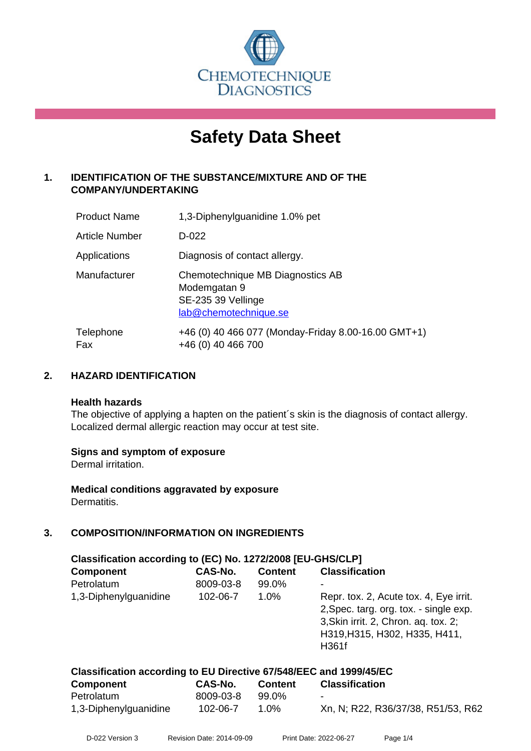

# **Safety Data Sheet**

# **1. IDENTIFICATION OF THE SUBSTANCE/MIXTURE AND OF THE COMPANY/UNDERTAKING**

| <b>Product Name</b>   | 1,3-Diphenylguanidine 1.0% pet                                                                  |
|-----------------------|-------------------------------------------------------------------------------------------------|
| <b>Article Number</b> | $D-022$                                                                                         |
| Applications          | Diagnosis of contact allergy.                                                                   |
| Manufacturer          | Chemotechnique MB Diagnostics AB<br>Modemgatan 9<br>SE-235 39 Vellinge<br>lab@chemotechnique.se |
| Telephone<br>Fax      | +46 (0) 40 466 077 (Monday-Friday 8.00-16.00 GMT+1)<br>+46 (0) 40 466 700                       |

# **2. HAZARD IDENTIFICATION**

#### **Health hazards**

The objective of applying a hapten on the patient's skin is the diagnosis of contact allergy. Localized dermal allergic reaction may occur at test site.

# **Signs and symptom of exposure**

Dermal irritation.

**Medical conditions aggravated by exposure** Dermatitis.

# **3. COMPOSITION/INFORMATION ON INGREDIENTS**

| Classification according to (EC) No. 1272/2008 [EU-GHS/CLP]        |                |                |                                                                                                                                                                    |  |
|--------------------------------------------------------------------|----------------|----------------|--------------------------------------------------------------------------------------------------------------------------------------------------------------------|--|
| <b>Component</b>                                                   | <b>CAS-No.</b> | <b>Content</b> | <b>Classification</b>                                                                                                                                              |  |
| Petrolatum                                                         | 8009-03-8      | 99.0%          |                                                                                                                                                                    |  |
| 1,3-Diphenylguanidine                                              | 102-06-7       | $1.0\%$        | Repr. tox. 2, Acute tox. 4, Eye irrit.<br>2, Spec. targ. org. tox. - single exp.<br>3, Skin irrit. 2, Chron. aq. tox. 2;<br>H319, H315, H302, H335, H411,<br>H361f |  |
| Classification according to FU Directive 67/548/FFC and 1999/45/FC |                |                |                                                                                                                                                                    |  |

| <b>Component</b>      | CAS-No.   | <b>Content</b> | <b>Classification</b>              |  |
|-----------------------|-----------|----------------|------------------------------------|--|
| Petrolatum            | 8009-03-8 | 99.0%          | $\overline{\phantom{a}}$           |  |
| 1,3-Diphenylguanidine | 102-06-7  | 1.0%           | Xn, N; R22, R36/37/38, R51/53, R62 |  |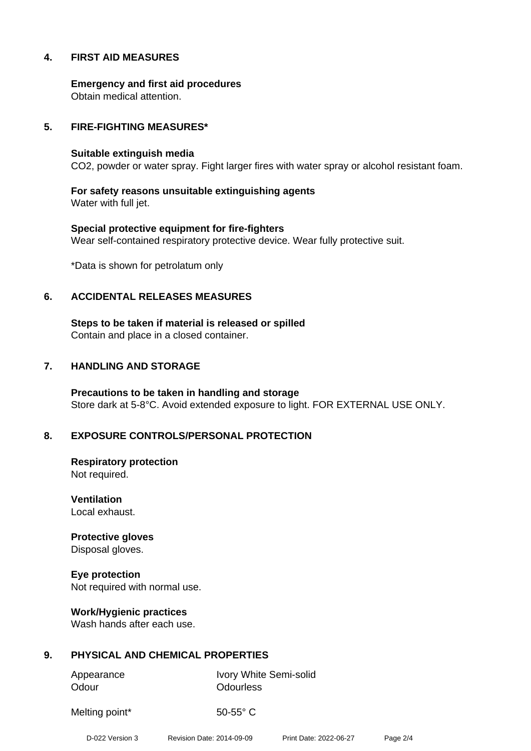# **4. FIRST AID MEASURES**

**Emergency and first aid procedures** Obtain medical attention.

#### **5. FIRE-FIGHTING MEASURES\***

#### **Suitable extinguish media**

CO2, powder or water spray. Fight larger fires with water spray or alcohol resistant foam.

**For safety reasons unsuitable extinguishing agents** Water with full jet.

**Special protective equipment for fire-fighters** Wear self-contained respiratory protective device. Wear fully protective suit.

\*Data is shown for petrolatum only

#### **6. ACCIDENTAL RELEASES MEASURES**

**Steps to be taken if material is released or spilled** Contain and place in a closed container.

#### **7. HANDLING AND STORAGE**

**Precautions to be taken in handling and storage** Store dark at 5-8°C. Avoid extended exposure to light. FOR EXTERNAL USE ONLY.

# **8. EXPOSURE CONTROLS/PERSONAL PROTECTION**

**Respiratory protection** Not required.

**Ventilation** Local exhaust.

**Protective gloves** Disposal gloves.

**Eye protection** Not required with normal use.

**Work/Hygienic practices** Wash hands after each use.

# **9. PHYSICAL AND CHEMICAL PROPERTIES**

Odour **Odourless** 

Appearance Ivory White Semi-solid

Melting point\* 50-55° C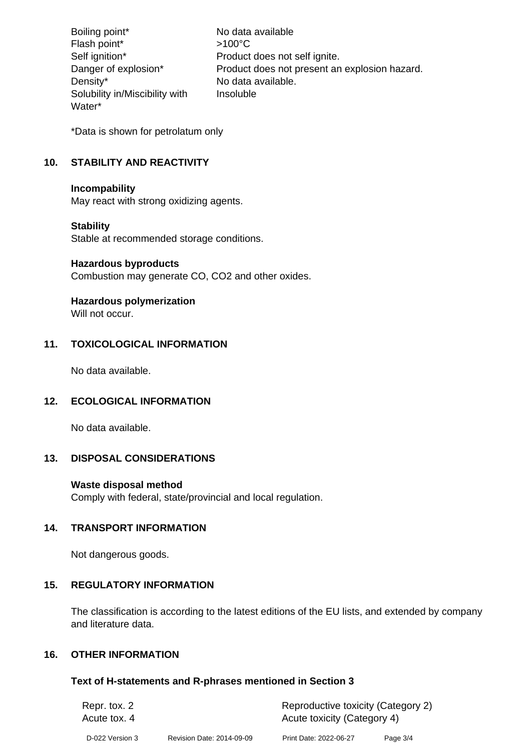Boiling point\* No data available Flash point\*  $>100^{\circ}$ C Self ignition\* Product does not self ignite. Danger of explosion\* Product does not present an explosion hazard. Density\* No data available. Solubility in/Miscibility with Water\* Insoluble

\*Data is shown for petrolatum only

# **10. STABILITY AND REACTIVITY**

#### **Incompability**

May react with strong oxidizing agents.

# **Stability**

Stable at recommended storage conditions.

#### **Hazardous byproducts**

Combustion may generate CO, CO2 and other oxides.

# **Hazardous polymerization**

Will not occur.

# **11. TOXICOLOGICAL INFORMATION**

No data available.

# **12. ECOLOGICAL INFORMATION**

No data available.

# **13. DISPOSAL CONSIDERATIONS**

# **Waste disposal method**

Comply with federal, state/provincial and local regulation.

# **14. TRANSPORT INFORMATION**

Not dangerous goods.

# **15. REGULATORY INFORMATION**

The classification is according to the latest editions of the EU lists, and extended by company and literature data.

# **16. OTHER INFORMATION**

#### **Text of H-statements and R-phrases mentioned in Section 3**

| Repr. tox. 2    |                           | Reproductive toxicity (Category 2) |          |
|-----------------|---------------------------|------------------------------------|----------|
| Acute tox, 4    |                           | Acute toxicity (Category 4)        |          |
| D-022 Version 3 | Revision Date: 2014-09-09 | Print Date: 2022-06-27             | Page 3/4 |